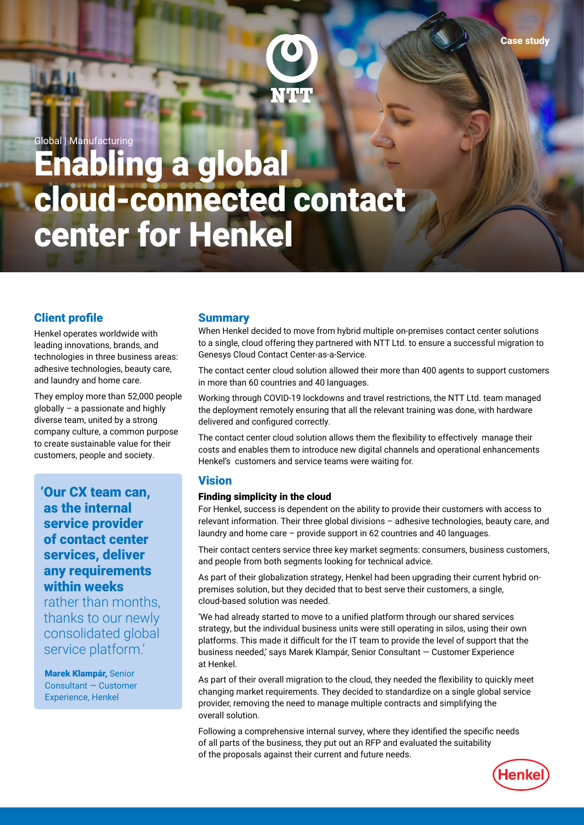

Global | Manufacturing

# Enabling a global cloud-connected contact center for Henkel

# Client profile

Henkel operates worldwide with leading innovations, brands, and technologies in three business areas: adhesive technologies, beauty care, and laundry and home care.

They employ more than 52,000 people globally – a passionate and highly diverse team, united by a strong company culture, a common purpose to create sustainable value for their customers, people and society.

'Our CX team can, as the internal service provider of contact center services, deliver any requirements within weeks

rather than months, thanks to our newly consolidated global service platform.'

Marek Klampár, Senior Consultant — Customer Experience, Henkel

## **Summary**

When Henkel decided to move from hybrid multiple on-premises contact center solutions to a single, cloud offering they partnered with NTT Ltd. to ensure a successful migration to Genesys Cloud Contact Center-as-a-Service.

The contact center cloud solution allowed their more than 400 agents to support customers in more than 60 countries and 40 languages.

Working through COVID-19 lockdowns and travel restrictions, the NTT Ltd. team managed the deployment remotely ensuring that all the relevant training was done, with hardware delivered and configured correctly.

The contact center cloud solution allows them the flexibility to effectively manage their costs and enables them to introduce new digital channels and operational enhancements Henkel's customers and service teams were waiting for.

## Vision

#### Finding simplicity in the cloud

For Henkel, success is dependent on the ability to provide their customers with access to relevant information. Their three global divisions – adhesive technologies, beauty care, and laundry and home care – provide support in 62 countries and 40 languages.

Their contact centers service three key market segments: consumers, business customers, and people from both segments looking for technical advice.

As part of their globalization strategy, Henkel had been upgrading their current hybrid onpremises solution, but they decided that to best serve their customers, a single, cloud-based solution was needed.

'We had already started to move to a unified platform through our shared services strategy, but the individual business units were still operating in silos, using their own platforms. This made it difficult for the IT team to provide the level of support that the business needed,' says Marek Klampár, Senior Consultant — Customer Experience at Henkel.

As part of their overall migration to the cloud, they needed the flexibility to quickly meet changing market requirements. They decided to standardize on a single global service provider, removing the need to manage multiple contracts and simplifying the overall solution.

Following a comprehensive internal survey, where they identified the specific needs of all parts of the business, they put out an RFP and evaluated the suitability of the proposals against their current and future needs.